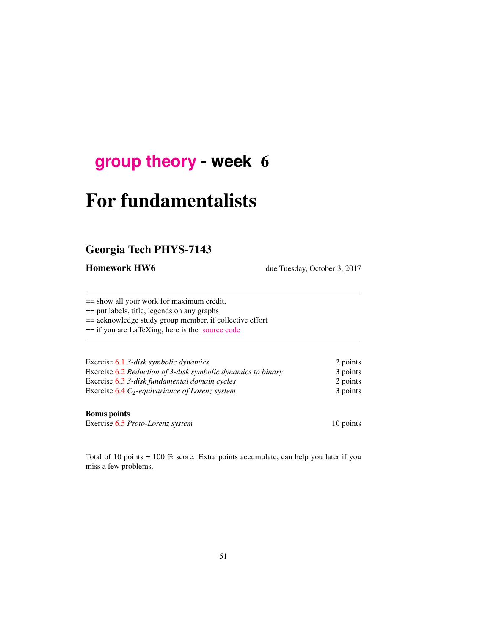# **[group theory](http://birdtracks.eu/courses/PHYS-7143-17/schedule.html) - week** 6

# For fundamentalists

# Georgia Tech PHYS-7143

Homework HW6 due Tuesday, October 3, 2017

== show all your work for maximum credit,

== put labels, title, legends on any graphs

== acknowledge study group member, if collective effort

== if you are LaTeXing, here is the [source code](http://birdtracks.eu/courses/PHYS-7143-17/exerWeek6.tex)

| Exercise 6.1 3-disk symbolic dynamics                        | 2 points |
|--------------------------------------------------------------|----------|
| Exercise 6.2 Reduction of 3-disk symbolic dynamics to binary | 3 points |
| Exercise 6.3 3-disk fundamental domain cycles                | 2 points |
| Exercise $6.4 C_2$ -equivariance of Lorenz system            | 3 points |

#### Bonus points

Exercise 6.5 *Proto-Lorenz system* 10 points

Total of 10 points = 100 % score. Extra points accumulate, can help you later if you miss a few problems.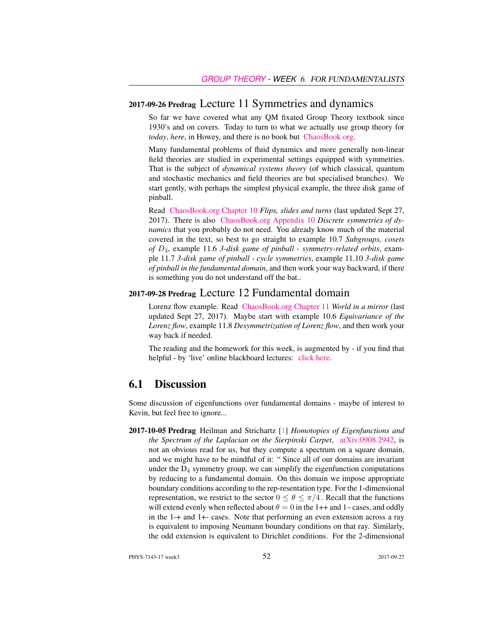#### 2017-09-26 Predrag Lecture 11 Symmetries and dynamics

So far we have covered what any QM fixated Group Theory textbook since 1930's and on covers. Today to turn to what we actually use group theory for *today*, *here*, in Howey, and there is no book but [ChaosBook.org.](http://ChaosBook.org)

Many fundamental problems of fluid dynamics and more generally non-linear field theories are studied in experimental settings equipped with symmetries. That is the subject of *dynamical systems theory* (of which classical, quantum and stochastic mechanics and field theories are but specialised branches). We start gently, with perhaps the simplest physical example, the three disk game of pinball.

Read [ChaosBook.org Chapter 10](http://birdtracks.eu/courses/PHYS-7143-17/finiteGr.pdf) *Flips, slides and turns* (last updated Sept 27, 2017). There is also [ChaosBook.org Appendix 10](http://birdtracks.eu/courses/PHYS-7143-17/appendSymm.pdf) *Discrete symmetries of dynamics* that you probably do not need. You already know much of the material covered in the text, so best to go straight to example 10.7 *Subgroups, cosets of* D3, example 11.6 *3-disk game of pinball - symmetry-related orbits*, example 11.7 *3-disk game of pinball - cycle symmetries*, example 11.10 *3-disk game of pinball in the fundamental domain*, and then work your way backward, if there is something you do not understand off the bat..

#### 2017-09-28 Predrag Lecture 12 Fundamental domain

Lorenz flow example. Read [ChaosBook.org Chapter 11](http://birdtracks.eu/courses/PHYS-7143-17/discrete.pdf) *World in a mirror* (last updated Sept 27, 2017). Maybe start with example 10.6 *Equivariance of the Lorenz flow*, example 11.8 *Desymmetrization of Lorenz flow*, and then work your way back if needed.

The reading and the homework for this week, is augmented by - if you find that helpful - by 'live' online blackboard lectures: [click here.](http://chaosbook.org/course1/Course1w4.html)

#### 6.1 Discussion

Some discussion of eigenfunctions over fundamental domains - maybe of interest to Kevin, but feel free to ignore...

2017-10-05 Predrag Heilman and Strichartz [1] *Homotopies of Eigenfunctions and the Spectrum of the Laplacian on the Sierpinski Carpet*, [arXiv:0908.2942,](http://arXiv.org/abs/0908.2942) is not an obvious read for us, but they compute a spectrum on a square domain, and we might have to be mindful of it: " Since all of our domains are invariant under the  $D_4$  symmetry group, we can simplify the eigenfunction computations by reducing to a fundamental domain. On this domain we impose appropriate boundary conditions according to the rep-resentation type. For the 1-dimensional representation, we restrict to the sector  $0 \le \theta \le \pi/4$ . Recall that the functions will extend evenly when reflected about  $\theta = 0$  in the 1++ and 1– cases, and oddly in the 1-+ and 1+- cases. Note that performing an even extension across a ray is equivalent to imposing Neumann boundary conditions on that ray. Similarly, the odd extension is equivalent to Dirichlet conditions. For the 2-dimensional

PHYS-7143-17 week3 52 2017-09-27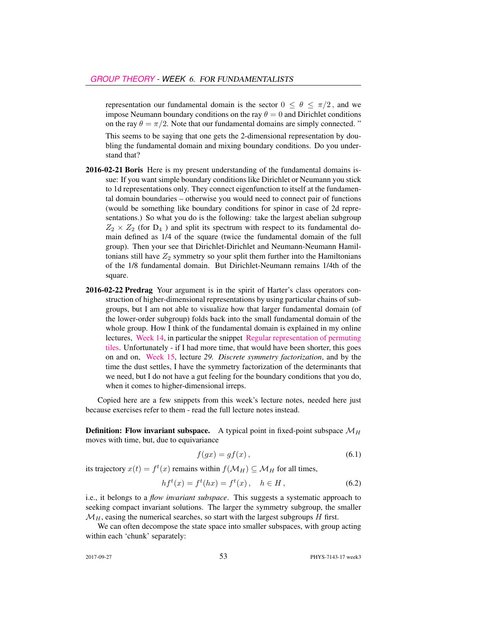representation our fundamental domain is the sector  $0 \le \theta \le \pi/2$ , and we impose Neumann boundary conditions on the ray  $\theta = 0$  and Dirichlet conditions on the ray  $\theta = \pi/2$ . Note that our fundamental domains are simply connected. "

This seems to be saying that one gets the 2-dimensional representation by doubling the fundamental domain and mixing boundary conditions. Do you understand that?

- 2016-02-21 Boris Here is my present understanding of the fundamental domains issue: If you want simple boundary conditions like Dirichlet or Neumann you stick to 1d representations only. They connect eigenfunction to itself at the fundamental domain boundaries – otherwise you would need to connect pair of functions (would be something like boundary conditions for spinor in case of 2d representations.) So what you do is the following: take the largest abelian subgroup  $Z_2 \times Z_2$  (for  $D_4$ ) and split its spectrum with respect to its fundamental domain defined as 1/4 of the square (twice the fundamental domain of the full group). Then your see that Dirichlet-Dirichlet and Neumann-Neumann Hamiltonians still have  $Z_2$  symmetry so your split them further into the Hamiltonians of the 1/8 fundamental domain. But Dirichlet-Neumann remains 1/4th of the square.
- 2016-02-22 Predrag Your argument is in the spirit of Harter's class operators construction of higher-dimensional representations by using particular chains of subgroups, but I am not able to visualize how that larger fundamental domain (of the lower-order subgroup) folds back into the small fundamental domain of the whole group. How I think of the fundamental domain is explained in my online lectures, [Week 14,](http://chaosbook.org/course1/Course2w14.html) in particular the snippet [Regular representation of permuting](http://www.youtube.com/embed/SnBUkUqsWTU) [tiles.](http://www.youtube.com/embed/SnBUkUqsWTU) Unfortunately - if I had more time, that would have been shorter, this goes on and on, [Week 15,](http://chaosbook.org/course1/Course2w15.html) lecture *29. Discrete symmetry factorization*, and by the time the dust settles, I have the symmetry factorization of the determinants that we need, but I do not have a gut feeling for the boundary conditions that you do, when it comes to higher-dimensional irreps.

Copied here are a few snippets from this week's lecture notes, needed here just because exercises refer to them - read the full lecture notes instead.

**Definition:** Flow invariant subspace. A typical point in fixed-point subspace  $\mathcal{M}_H$ moves with time, but, due to equivariance

$$
f(gx) = gf(x),\tag{6.1}
$$

its trajectory  $x(t) = f^t(x)$  remains within  $f(\mathcal{M}_H) \subseteq \mathcal{M}_H$  for all times,

$$
hf^{t}(x) = f^{t}(hx) = f^{t}(x), \quad h \in H,
$$
\n(6.2)

i.e., it belongs to a *flow invariant subspace*. This suggests a systematic approach to seeking compact invariant solutions. The larger the symmetry subgroup, the smaller  $\mathcal{M}_H$ , easing the numerical searches, so start with the largest subgroups H first.

We can often decompose the state space into smaller subspaces, with group acting within each 'chunk' separately: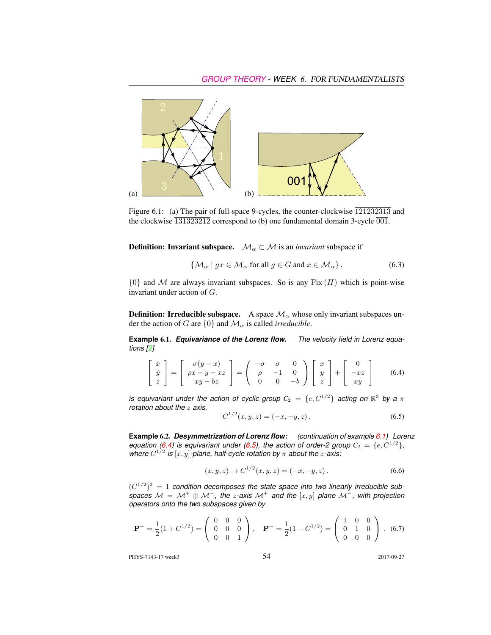

Figure 6.1: (a) The pair of full-space 9-cycles, the counter-clockwise  $\overline{121232313}$  and the clockwise  $\overline{131323212}$  correspond to (b) one fundamental domain 3-cycle  $\overline{001}$ .

**Definition:** Invariant subspace.  $\mathcal{M}_\alpha \subset \mathcal{M}$  is an *invariant* subspace if

$$
\{ \mathcal{M}_{\alpha} \mid gx \in \mathcal{M}_{\alpha} \text{ for all } g \in G \text{ and } x \in \mathcal{M}_{\alpha} \}.
$$
 (6.3)

 ${0}$  and M are always invariant subspaces. So is any  $Fix(H)$  which is point-wise invariant under action of G.

**Definition: Irreducible subspace.** A space  $\mathcal{M}_{\alpha}$  whose only invariant subspaces under the action of G are  $\{0\}$  and  $\mathcal{M}_{\alpha}$  is called *irreducible*.

**Example** 6.1. *Equivariance of the Lorenz flow. The velocity field in Lorenz equations [2]*

$$
\begin{bmatrix} \dot{x} \\ \dot{y} \\ \dot{z} \end{bmatrix} = \begin{bmatrix} \sigma(y-x) \\ \rho x - y - xz \\ xy - bz \end{bmatrix} = \begin{pmatrix} -\sigma & \sigma & 0 \\ \rho & -1 & 0 \\ 0 & 0 & -b \end{pmatrix} \begin{bmatrix} x \\ y \\ z \end{bmatrix} + \begin{bmatrix} 0 \\ -xz \\ xy \end{bmatrix}
$$
(6.4)

*is equivariant under the action of cyclic group*  $C_2 = \{e, C^{1/2}\}$  *acting on*  $\mathbb{R}^3$  by a  $\pi$ *rotation about the* z *axis,*

$$
C^{1/2}(x, y, z) = (-x, -y, z). \tag{6.5}
$$

**Example** 6.2. *Desymmetrization of Lorenz flow: (continuation of example 6.1) Lorenz equation (6.4)* is equivariant under (6.5), the action of order-2 group  $C_2 = \{e, C^{1/2}\},$ where  $C^{1/2}$  is  $[x, y]$ -plane, half-cycle rotation by  $\pi$  about the *z*-axis:

$$
(x, y, z) \to C^{1/2}(x, y, z) = (-x, -y, z).
$$
 (6.6)

 $(C^{1/2})^2 = 1$  condition decomposes the state space into two linearly irreducible sub*spaces*  $M = M^+ \oplus M^-$ , the *z*-axis  $M^+$  and the  $[x, y]$  plane  $M^-$ , with projection *operators onto the two subspaces given by*

$$
\mathbf{P}^{+} = \frac{1}{2}(1 + C^{1/2}) = \begin{pmatrix} 0 & 0 & 0 \\ 0 & 0 & 0 \\ 0 & 0 & 1 \end{pmatrix}, \quad \mathbf{P}^{-} = \frac{1}{2}(1 - C^{1/2}) = \begin{pmatrix} 1 & 0 & 0 \\ 0 & 1 & 0 \\ 0 & 0 & 0 \end{pmatrix}. \tag{6.7}
$$

PHYS-7143-17 week3 2017-09-27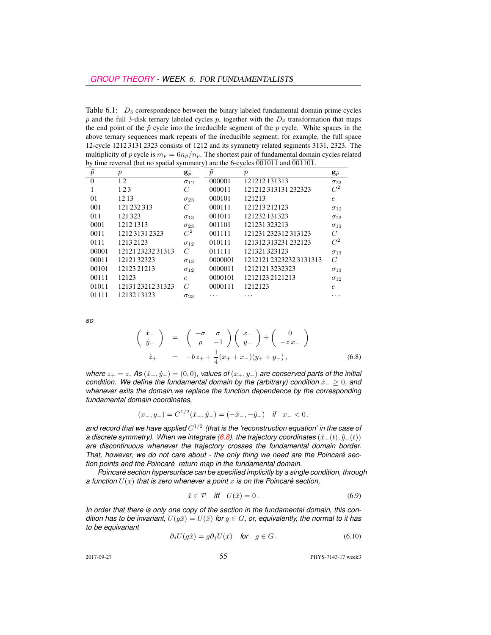Table  $6.1$ :  $D_3$  correspondence between the binary labeled fundamental domain prime cycles  $\tilde{p}$  and the full 3-disk ternary labeled cycles p, together with the  $D_3$  transformation that maps the end point of the  $\tilde{p}$  cycle into the irreducible segment of the p cycle. White spaces in the above ternary sequences mark repeats of the irreducible segment; for example, the full space 12-cycle 1212 3131 2323 consists of 1212 and its symmetry related segments 3131, 2323. The multiplicity of p cycle is  $m_p = 6n_{\tilde{p}}/n_p$ . The shortest pair of fundamental domain cycles related by time reversal (but no spatial symmetry) are the 6-cycles  $\overline{001011}$  and  $\overline{001101}$ .

| $\tilde{p}$ | $\boldsymbol{p}$  | $\mathbf{g}_{\tilde{p}}$ | $\tilde{p}$ | $\boldsymbol{p}$      | $\mathbf{g}_{\tilde{p}}$ |
|-------------|-------------------|--------------------------|-------------|-----------------------|--------------------------|
| $\theta$    | 12                | $\sigma_{12}$            | 000001      | 121212131313          | $\sigma_{23}$            |
|             | 123               | C                        | 000011      | 121212313131232323    | $C^2$                    |
| 01          | 1213              | $\sigma_{23}$            | 000101      | 121213                | $\epsilon$               |
| 001         | 121 232 313       | $\overline{C}$           | 000111      | 121213212123          | $\sigma_{12}$            |
| 011         | 121323            | $\sigma_{13}$            | 001011      | 121232 131323         | $\sigma_{23}$            |
| 0001        | 1212 1313         | $\sigma_{23}$            | 001101      | 121231323213          | $\sigma_{13}$            |
| 0011        | 121231312323      | $C^2$                    | 001111      | 121231 232312 313123  | C                        |
| 0111        | 12132123          | $\sigma_{12}$            | 010111      | 121312313231232123    | $C^2$                    |
| 00001       | 12121 23232 31313 | $\mathcal{C}$            | 011111      | 121321323123          | $\sigma_{13}$            |
| 00011       | 1212132323        | $\sigma_{13}$            | 0000001     | 121212123232323131313 | $\mathcal{C}$            |
| 00101       | 12123 21213       | $\sigma_{12}$            | 0000011     | 12121213232323        | $\sigma_{13}$            |
| 00111       | 12123             | $\epsilon$               | 0000101     | 12121232121213        | $\sigma_{12}$            |
| 01011       | 121312321231323   | $\mathcal{C}$            | 0000111     | 1212123               | $\epsilon$               |
| 01111       | 1213213123        | $\sigma_{23}$            | .           | $\cdots$              | .                        |

*so*

$$
\begin{pmatrix}\n\dot{x}_{-} \\
\dot{y}_{-}\n\end{pmatrix} = \begin{pmatrix}\n-\sigma & \sigma \\
\rho & -1\n\end{pmatrix}\n\begin{pmatrix}\nx_{-} \\
y_{-}\n\end{pmatrix} + \begin{pmatrix}\n0 \\
-zx_{-}\n\end{pmatrix}
$$
\n
$$
\dot{z}_{+} = -bz_{+} + \frac{1}{4}(x_{+} + x_{-})(y_{+} + y_{-}),
$$
\n(6.8)

*where*  $z_+ = z$ *.* As  $(\dot{x}_+, \dot{y}_+) = (0, 0)$ *, values of*  $(x_+, y_+)$  *are conserved parts of the initial condition. We define the fundamental domain by the (arbitrary) condition*  $\hat{x}_− ≥ 0$ *, and whenever exits the domain,we replace the function dependence by the corresponding fundamental domain coordinates,*

$$
(x_-, y_-) = C^{1/2}(\hat{x}_-, \hat{y}_-) = (-\hat{x}_-, -\hat{y}_-) \quad \text{if} \quad x_- < 0\,,
$$

and record that we have applied  $C^{1/2}$  (that is the 'reconstruction equation' in the case of *a discrete symmetry). When we integrate (6.8), the trajectory coordinates*  $(\hat{x}_-(t), \hat{y}_-(t))$ *are discontinuous whenever the trajectory crosses the fundamental domain border. That, however, we do not care about - the only thing we need are the Poincaré section points and the Poincaré return map in the fundamental domain.*

*Poincaré section hypersurface can be specified implicitly by a single condition, through a function*  $U(x)$  *that is zero whenever a point* x *is on the Poincaré section,* 

$$
\hat{x} \in \mathcal{P} \quad \text{iff} \quad U(\hat{x}) = 0 \,. \tag{6.9}
$$

*In order that there is only one copy of the section in the fundamental domain, this condition has to be invariant,*  $U(g\hat{x}) = U(\hat{x})$  *for*  $g \in G$ *, or, equivalently, the normal to it has to be equivariant*

$$
\partial_j U(g\hat{x}) = g\partial_j U(\hat{x}) \quad \text{for} \quad g \in G. \tag{6.10}
$$

2017-09-27 55 PHYS-7143-17 week3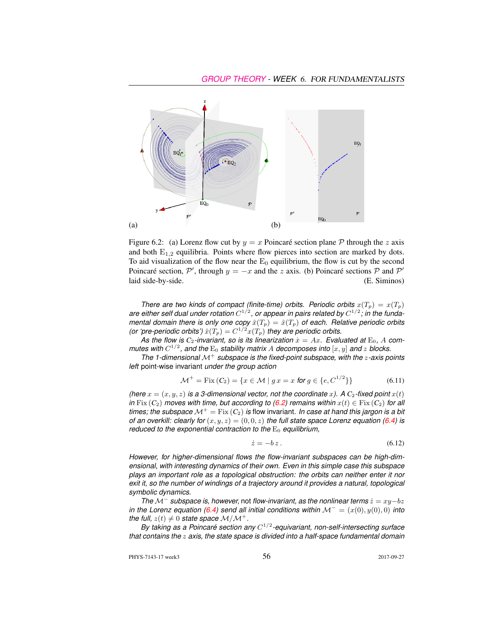

Figure 6.2: (a) Lorenz flow cut by  $y = x$  Poincaré section plane  $P$  through the z axis and both  $E_{1,2}$  equilibria. Points where flow pierces into section are marked by dots. To aid visualization of the flow near the  $E_0$  equilibrium, the flow is cut by the second Poincaré section,  $\mathcal{P}'$ , through  $y = -x$  and the z axis. (b) Poincaré sections  $\mathcal P$  and  $\mathcal P'$ laid side-by-side. (E. Siminos)

*There are two kinds of compact (finite-time) orbits. Periodic orbits*  $x(T_p) = x(T_p)$ are either self dual under rotation  $C^{1/2}$ , or appear in pairs related by  $C^{1/2}$ ; in the funda*mental domain there is only one copy*  $\hat{x}(T_p) = \hat{x}(T_p)$  *of each. Relative periodic orbits (or 'pre-periodic orbits')*  $\hat{x}(T_p) = C^{1/2}x(T_p)$  *they are periodic orbits.* 

As the flow is  $C_2$ -invariant, so is its linearization  $\dot{x} = Ax$ . Evaluated at  $E_0$ , A com*mutes with*  $C^{1/2}$ , and the  $E_0$  stability matrix A decomposes into  $[x, y]$  and z blocks.

*The 1-dimensional* M<sup>+</sup> *subspace is the fixed-point subspace, with the* z*-axis points left* point-wise invariant *under the group action*

$$
\mathcal{M}^+ = \text{Fix}\,(C_2) = \{x \in \mathcal{M} \mid g \, x = x \text{ for } g \in \{e, C^{1/2}\}\}\tag{6.11}
$$

*(here*  $x = (x, y, z)$  *is a 3-dimensional vector, not the coordinate x).* A  $C_2$ -fixed point  $x(t)$ *in* Fix  $(C_2)$  *moves with time, but according to*  $(6.2)$  *remains within*  $x(t) \in Fix(C_2)$  *for all times; the subspace*  $\mathcal{M}^+ = \text{Fix}(\mathcal{C}_2)$  *is flow invariant. In case at hand this jargon is a bit of an overkill: clearly for*  $(x, y, z) = (0, 0, z)$  *the full state space Lorenz equation (6.4) is reduced to the exponential contraction to the*  $E_0$  *equilibrium,* 

$$
\dot{z} = -bz \,. \tag{6.12}
$$

*However, for higher-dimensional flows the flow-invariant subspaces can be high-dimensional, with interesting dynamics of their own. Even in this simple case this subspace plays an important role as a topological obstruction: the orbits can neither enter it nor exit it, so the number of windings of a trajectory around it provides a natural, topological symbolic dynamics.*

*The*  $M^-$  *subspace is, however, not flow-invariant, as the nonlinear terms*  $\dot{z} = xy-bz$ *in the Lorenz equation (6.4) send all initial conditions within*  $\mathcal{M}^- = (x(0), y(0), 0)$  *into the full,*  $z(t) \neq 0$  *state space*  $M/M^+$ .

By taking as a Poincaré section any  $C^{1/2}$ -equivariant, non-self-intersecting surface *that contains the* z *axis, the state space is divided into a half-space fundamental domain*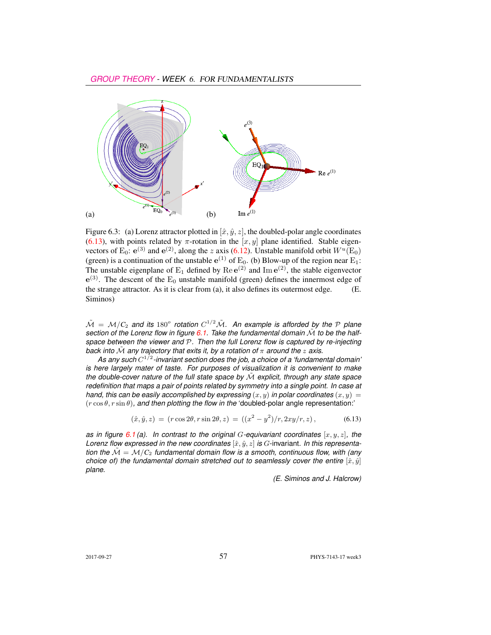

Figure 6.3: (a) Lorenz attractor plotted in  $[\hat{x}, \hat{y}, z]$ , the doubled-polar angle coordinates (6.13), with points related by  $\pi$ -rotation in the  $[x, y]$  plane identified. Stable eigenvectors of E<sub>0</sub>:  $e^{(3)}$  and  $e^{(2)}$ , along the z axis (6.12). Unstable manifold orbit  $W^u(\text{E}_0)$ (green) is a continuation of the unstable  $e^{(1)}$  of  $E_0$ . (b) Blow-up of the region near  $E_1$ : The unstable eigenplane of  $E_1$  defined by  $\text{Re }e^{(2)}$  and  $\text{Im }e^{(2)}$ , the stable eigenvector  $e^{(3)}$ . The descent of the  $E_0$  unstable manifold (green) defines the innermost edge of the strange attractor. As it is clear from (a), it also defines its outermost edge. (E. Siminos)

 $\tilde{\cal M} \,=\, {\cal M}/C_2$  and its 180° rotation  $C^{1/2}\tilde{\cal M}.$  An example is afforded by the  ${\cal P}$  plane *section of the Lorenz flow in figure 6.1. Take the fundamental domain* M˜ *to be the halfspace between the viewer and* P*. Then the full Lorenz flow is captured by re-injecting back into*  $\tilde{M}$  *any trajectory that exits it, by a rotation of*  $\pi$  *around the z axis.* 

*As any such* C 1/2 *-invariant section does the job, a choice of a 'fundamental domain' is here largely mater of taste. For purposes of visualization it is convenient to make the double-cover nature of the full state space by* M˜ *explicit, through any state space redefinition that maps a pair of points related by symmetry into a single point. In case at hand, this can be easily accomplished by expressing*  $(x, y)$  *in polar coordinates*  $(x, y) =$  $(r \cos \theta, r \sin \theta)$ *, and then plotting the flow in the 'doubled-polar angle representation:'* 

$$
(\hat{x}, \hat{y}, z) = (r \cos 2\theta, r \sin 2\theta, z) = ((x^2 - y^2)/r, 2xy/r, z), \tag{6.13}
$$

*as in figure* 6.1 (a). In contrast to the original G-equivariant coordinates  $[x, y, z]$ , the *Lorenz flow expressed in the new coordinates*  $[\hat{x}, \hat{y}, z]$  *is G*-invariant. In this representa*tion the*  $M = M/C_2$  *fundamental domain flow is a smooth, continuous flow, with (any choice of) the fundamental domain stretched out to seamlessly cover the entire*  $[\hat{x}, \hat{y}]$ *plane.*

*(E. Siminos and J. Halcrow)*

2017-09-27 57 PHYS-7143-17 week3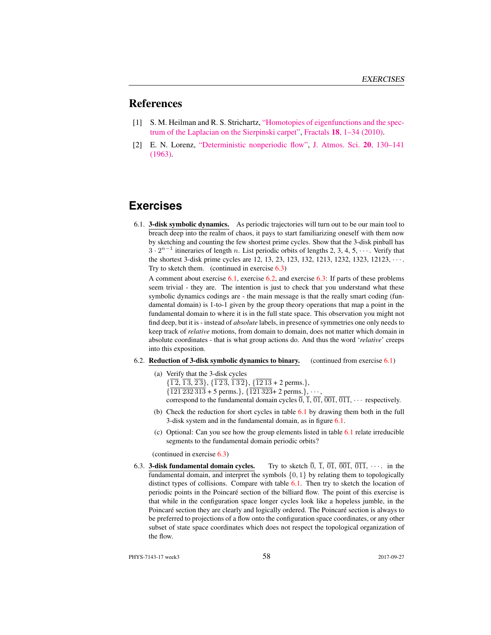## References

- [1] S. M. Heilman and R. S. Strichartz, ["Homotopies of eigenfunctions and the spec](http://dx.doi.org/10.1142/S0218348X10004750)[trum of the Laplacian on the Sierpinski carpet",](http://dx.doi.org/10.1142/S0218348X10004750) Fractals 18[, 1–34 \(2010\).](http://dx.doi.org/10.1142/S0218348X10004750)
- [2] E. N. Lorenz, ["Deterministic nonperiodic flow",](http://dx.doi.org/10.1175/1520-0469(1963)020<0130:DNF>2.0.CO;2) [J. Atmos. Sci.](http://dx.doi.org/10.1175/1520-0469(1963)020<0130:DNF>2.0.CO;2) 20, 130–141 [\(1963\).](http://dx.doi.org/10.1175/1520-0469(1963)020<0130:DNF>2.0.CO;2)

## **Exercises**

6.1. 3-disk symbolic dynamics. As periodic trajectories will turn out to be our main tool to breach deep into the realm of chaos, it pays to start familiarizing oneself with them now by sketching and counting the few shortest prime cycles. Show that the 3-disk pinball has  $3 \cdot 2^{n-1}$  itineraries of length n. List periodic orbits of lengths 2, 3, 4, 5,  $\cdots$ . Verify that the shortest 3-disk prime cycles are 12, 13, 23, 123, 132, 1213, 1232, 1323, 12123, · · · . Try to sketch them. (continued in exercise 6.3)

A comment about exercise  $6.1$ , exercise  $6.2$ , and exercise  $6.3$ : If parts of these problems seem trivial - they are. The intention is just to check that you understand what these symbolic dynamics codings are - the main message is that the really smart coding (fundamental domain) is 1-to-1 given by the group theory operations that map a point in the fundamental domain to where it is in the full state space. This observation you might not find deep, but it is - instead of *absolute* labels, in presence of symmetries one only needs to keep track of *relative* motions, from domain to domain, does not matter which domain in absolute coordinates - that is what group actions do. And thus the word '*relative*' creeps into this exposition.

6.2. Reduction of 3-disk symbolic dynamics to binary. (continued from exercise  $6.1$ )

(a) Verify that the 3-disk cycles  $\{\overline{12}, \overline{13}, \overline{23}\}, \{\overline{123}, \overline{132}\}, \{\overline{1213} \pm 2 \text{ perms.}\},\$  $\{\overline{121\,232\,313} + 5$  perms.},  $\{\overline{121\,323} + 2$  perms.},  $\cdots$ 

- correspond to the fundamental domain cycles  $\overline{0}$ ,  $\overline{1}$ ,  $\overline{01}$ ,  $\overline{001}$ ,  $\overline{011}$ ,  $\cdots$  respectively.
- (b) Check the reduction for short cycles in table 6.1 by drawing them both in the full 3-disk system and in the fundamental domain, as in figure 6.1.
- (c) Optional: Can you see how the group elements listed in table 6.1 relate irreducible segments to the fundamental domain periodic orbits?

(continued in exercise 6.3)

6.3. **3-disk fundamental domain cycles.** Try to sketch  $\overline{0}$ ,  $\overline{1}$ ,  $\overline{01}$ ,  $\overline{001}$ ,  $\overline{011}$ ,  $\cdots$  in the fundamental domain, and interpret the symbols  $\{0, 1\}$  by relating them to topologically distinct types of collisions. Compare with table 6.1. Then try to sketch the location of periodic points in the Poincaré section of the billiard flow. The point of this exercise is that while in the configuration space longer cycles look like a hopeless jumble, in the Poincaré section they are clearly and logically ordered. The Poincaré section is always to be preferred to projections of a flow onto the configuration space coordinates, or any other subset of state space coordinates which does not respect the topological organization of the flow.

PHYS-7143-17 week3 2017-09-27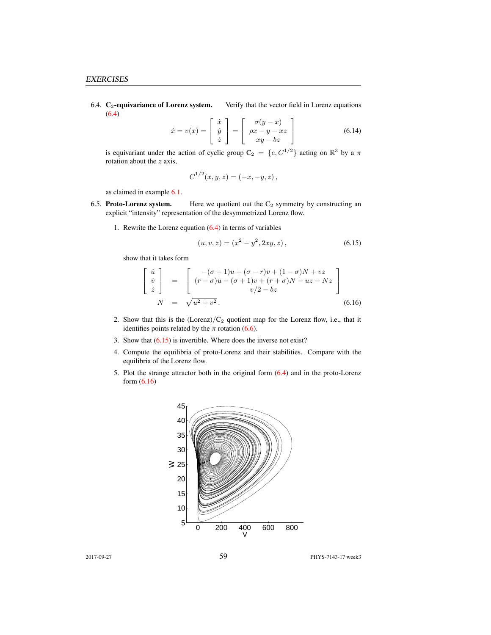6.4.  $C_2$ -equivariance of Lorenz system. Verify that the vector field in Lorenz equations (6.4)

$$
\dot{x} = v(x) = \begin{bmatrix} \dot{x} \\ \dot{y} \\ \dot{z} \end{bmatrix} = \begin{bmatrix} \sigma(y - x) \\ \rho x - y - xz \\ xy - bz \end{bmatrix}
$$
(6.14)

is equivariant under the action of cyclic group  $C_2 = \{e, C^{1/2}\}\$ acting on  $\mathbb{R}^3$  by a  $\pi$ rotation about the  $z$  axis,

$$
C^{1/2}(x, y, z) = (-x, -y, z),
$$

as claimed in example 6.1.

- 6.5. Proto-Lorenz system. Here we quotient out the  $C_2$  symmetry by constructing an explicit "intensity" representation of the desymmetrized Lorenz flow.
	- 1. Rewrite the Lorenz equation  $(6.4)$  in terms of variables

$$
(u, v, z) = (x2 – y2, 2xy, z),
$$
\n(6.15)

show that it takes form

$$
\begin{bmatrix}\n\dot{u} \\
\dot{v} \\
\dot{z}\n\end{bmatrix} = \begin{bmatrix}\n-(\sigma+1)u + (\sigma-r)v + (1-\sigma)N + vz \\
(r-\sigma)u - (\sigma+1)v + (r+\sigma)N - uz - Nz \\
v/2 - bz\n\end{bmatrix}
$$
\n(6.16)

- 2. Show that this is the  $(Lorenz)/C_2$  quotient map for the Lorenz flow, i.e., that it identifies points related by the  $\pi$  rotation (6.6).
- 3. Show that  $(6.15)$  is invertible. Where does the inverse not exist?
- 4. Compute the equilibria of proto-Lorenz and their stabilities. Compare with the equilibria of the Lorenz flow.
- 5. Plot the strange attractor both in the original form (6.4) and in the proto-Lorenz form (6.16)